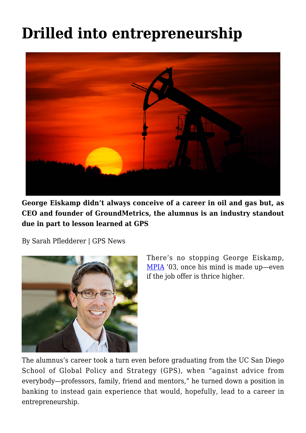## **[Drilled into entrepreneurship](https://gpsnews.ucsd.edu/drilled-into-entrepreneurship/)**



**George Eiskamp didn't always conceive of a career in oil and gas but, as CEO and founder of GroundMetrics, the alumnus is an industry standout due in part to lesson learned at GPS**

By Sarah Pfledderer | GPS News



There's no stopping George Eiskamp, [MPIA](https://gps.ucsd.edu/academics/mia.html) '03, once his mind is made up—even if the job offer is thrice higher.

The alumnus's career took a turn even before graduating from the UC San Diego School of Global Policy and Strategy (GPS), when "against advice from everybody—professors, family, friend and mentors," he turned down a position in banking to instead gain experience that would, hopefully, lead to a career in entrepreneurship.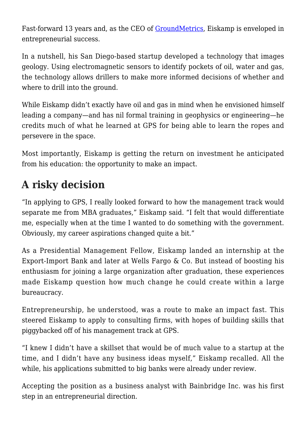Fast-forward 13 years and, as the CEO of [GroundMetrics,](http://www.groundmetrics.com/) Eiskamp is enveloped in entrepreneurial success.

In a nutshell, his San Diego-based startup developed a technology that images geology. Using electromagnetic sensors to identify pockets of oil, water and gas, the technology allows drillers to make more informed decisions of whether and where to drill into the ground.

While Eiskamp didn't exactly have oil and gas in mind when he envisioned himself leading a company—and has nil formal training in geophysics or engineering—he credits much of what he learned at GPS for being able to learn the ropes and persevere in the space.

Most importantly, Eiskamp is getting the return on investment he anticipated from his education: the opportunity to make an impact.

## **A risky decision**

"In applying to GPS, I really looked forward to how the management track would separate me from MBA graduates," Eiskamp said. "I felt that would differentiate me, especially when at the time I wanted to do something with the government. Obviously, my career aspirations changed quite a bit."

As a Presidential Management Fellow, Eiskamp landed an internship at the Export-Import Bank and later at Wells Fargo & Co. But instead of boosting his enthusiasm for joining a large organization after graduation, these experiences made Eiskamp question how much change he could create within a large bureaucracy.

Entrepreneurship, he understood, was a route to make an impact fast. This steered Eiskamp to apply to consulting firms, with hopes of building skills that piggybacked off of his management track at GPS.

"I knew I didn't have a skillset that would be of much value to a startup at the time, and I didn't have any business ideas myself," Eiskamp recalled. All the while, his applications submitted to big banks were already under review.

Accepting the position as a business analyst with Bainbridge Inc. was his first step in an entrepreneurial direction.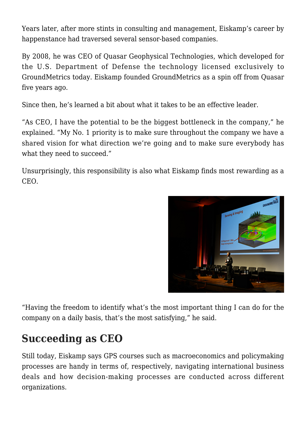Years later, after more stints in consulting and management, Eiskamp's career by happenstance had traversed several sensor-based companies.

By 2008, he was CEO of Quasar Geophysical Technologies, which developed for the U.S. Department of Defense the technology licensed exclusively to GroundMetrics today. Eiskamp founded GroundMetrics as a spin off from Quasar five years ago.

Since then, he's learned a bit about what it takes to be an effective leader.

"As CEO, I have the potential to be the biggest bottleneck in the company," he explained. "My No. 1 priority is to make sure throughout the company we have a shared vision for what direction we're going and to make sure everybody has what they need to succeed."

Unsurprisingly, this responsibility is also what Eiskamp finds most rewarding as a CEO.



"Having the freedom to identify what's the most important thing I can do for the company on a daily basis, that's the most satisfying," he said.

## **Succeeding as CEO**

Still today, Eiskamp says GPS courses such as macroeconomics and policymaking processes are handy in terms of, respectively, navigating international business deals and how decision-making processes are conducted across different organizations.